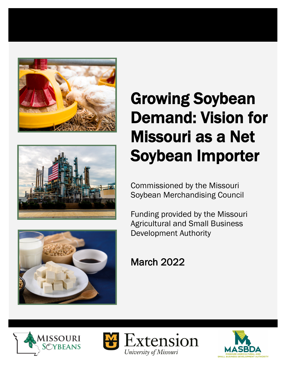





# Growing Soybean Demand: Vision for Missouri as a Net Soybean Importer

Commissioned by the Missouri Soybean Merchandising Council

Funding provided by the Missouri Agricultural and Small Business Development Authority

March 2022





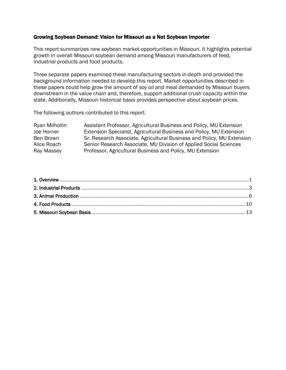#### Growing Soybean Demand: Vision for Missouri as a Net Soybean Importer

This report summarizes new soybean market opportunities in Missouri. It highlights potential growth in overall Missouri soybean demand among Missouri manufacturers of feed, industrial products and food products.

Three separate papers examined these manufacturing sectors in-depth and provided the background information needed to develop this report. Market opportunities described in these papers could help grow the amount of soy oil and meal demanded by Missouri buyers downstream in the value chain and, therefore, support additional crush capacity within the state. Additionally, Missouri historical basis provides perspective about soybean prices.

The following authors contributed to this report:

Ryan Milhollin Assistant Professor, Agricultural Business and Policy, MU Extension Joe Horner Extension Specialist, Agricultural Business and Policy, MU Extension Ben Brown Sr. Research Associate, Agricultural Business and Policy, MU Extension Alice Roach Senior Research Associate, MU Division of Applied Social Sciences Ray Massey Professor, Agricultural Business and Policy, MU Extension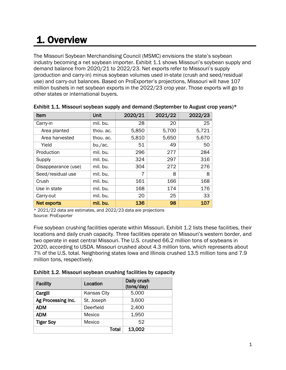## 1. Overview

The Missouri Soybean Merchandising Council (MSMC) envisions the state's soybean industry becoming a net soybean importer. Exhibit 1.1 shows Missouri's soybean supply and demand balance from 2020/21 to 2022/23. Net exports refer to Missouri's supply (production and carry-in) minus soybean volumes used in-state (crush and seed/residual use) and carry-out balances. Based on ProExporter's projections, Missouri will have 107 million bushels in net soybean exports in the 2022/23 crop year. Those exports will go to other states or international buyers.

| Item                | Unit      | 2020/21 | 2021/22 | 2022/23 |
|---------------------|-----------|---------|---------|---------|
| Carry-in            | mil. bu.  | 28      | 20      | 25      |
| Area planted        | thou, ac. | 5,850   | 5,700   | 5,721   |
| Area harvested      | thou, ac. | 5,810   | 5,650   | 5,670   |
| Yield               | bu./ac.   | 51      | 49      | 50      |
| Production          | mil. bu.  | 296     | 277     | 284     |
| Supply              | mil. bu.  | 324     | 297     | 316     |
| Disappearance (use) | mil. bu.  | 304     | 272     | 276     |
| Seed/residual use   | mil. bu.  | 7       | 8       | 8       |
| Crush               | mil. bu.  | 161     | 166     | 168     |
| Use in state        | mil. bu.  | 168     | 174     | 176     |
| Carry-out           | mil. bu.  | 20      | 25      | 33      |
| <b>Net exports</b>  | mil. bu.  | 136     | 98      | 107     |

| Exhibit 1.1. Missouri soybean supply and demand (September to August crop years)* |  |  |
|-----------------------------------------------------------------------------------|--|--|
|                                                                                   |  |  |

 $*$  2021/22 data are estimates, and 2022/23 data are projections Source: ProExporter

Five soybean crushing facilities operate within Missouri. Exhibit 1.2 lists these facilities, their locations and daily crush capacity. Three facilities operate on Missouri's western border, and two operate in east central Missouri. The U.S. crushed 66.2 million tons of soybeans in 2020, according to USDA. Missouri crushed about 4.3 million tons, which represents about 7% of the U.S. total. Neighboring states Iowa and Illinois crushed 13.5 million tons and 7.9 million tons, respectively.

Exhibit 1.2. Missouri soybean crushing facilities by capacity

| <b>Facility</b>    | Location           | Daily crush<br>(tons/day) |
|--------------------|--------------------|---------------------------|
| Cargill            | <b>Kansas City</b> | 5,000                     |
| Ag Processing Inc. | St. Joseph         | 3,600                     |
| <b>ADM</b>         | Deerfield          | 2,400                     |
| <b>ADM</b>         | Mexico             | 1,950                     |
| <b>Tiger Soy</b>   | Mexico             | 52                        |
|                    | Total              | 13,002                    |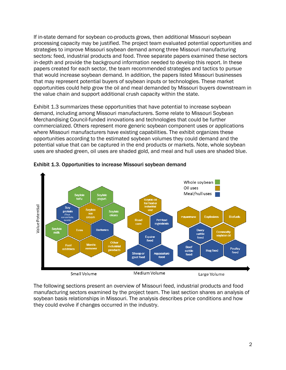If in-state demand for soybean co-products grows, then additional Missouri soybean processing capacity may be justified. The project team evaluated potential opportunities and strategies to improve Missouri soybean demand among three Missouri manufacturing sectors: feed, industrial products and food. Three separate papers examined these sectors in-depth and provide the background information needed to develop this report. In these papers created for each sector, the team recommended strategies and tactics to pursue that would increase soybean demand. In addition, the papers listed Missouri businesses that may represent potential buyers of soybean inputs or technologies. These market opportunities could help grow the oil and meal demanded by Missouri buyers downstream in the value chain and support additional crush capacity within the state.

Exhibit 1.3 summarizes these opportunities that have potential to increase soybean demand, including among Missouri manufacturers. Some relate to Missouri Soybean Merchandising Council-funded innovations and technologies that could be further commercialized. Others represent more generic soybean component uses or applications where Missouri manufacturers have existing capabilities. The exhibit organizes these opportunities according to the estimated soybean volumes they could demand and the potential value that can be captured in the end products or markets. Note, whole soybean uses are shaded green, oil uses are shaded gold, and meal and hull uses are shaded blue.



Exhibit 1.3. Opportunities to increase Missouri soybean demand

The following sections present an overview of Missouri feed, industrial products and food manufacturing sectors examined by the project team. The last section shares an analysis of soybean basis relationships in Missouri. The analysis describes price conditions and how they could evolve if changes occurred in the industry.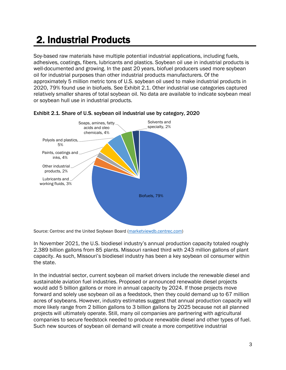### 2. Industrial Products

Soy-based raw materials have multiple potential industrial applications, including fuels, adhesives, coatings, fibers, lubricants and plastics. Soybean oil use in industrial products is well-documented and growing. In the past 20 years, biofuel producers used more soybean oil for industrial purposes than other industrial products manufacturers. Of the approximately 5 million metric tons of U.S. soybean oil used to make industrial products in 2020, 79% found use in biofuels. See Exhibit 2.1. Other industrial use categories captured relatively smaller shares of total soybean oil. No data are available to indicate soybean meal or soybean hull use in industrial products.



#### Exhibit 2.1. Share of U.S. soybean oil industrial use by category, 2020

In November 2021, the U.S. biodiesel industry's annual production capacity totaled roughly 2.389 billion gallons from 85 plants. Missouri ranked third with 243 million gallons of plant capacity. As such, Missouri's biodiesel industry has been a key soybean oil consumer within the state.

In the industrial sector, current soybean oil market drivers include the renewable diesel and sustainable aviation fuel industries. Proposed or announced renewable diesel projects would add 5 billion gallons or more in annual capacity by 2024. If those projects move forward and solely use soybean oil as a feedstock, then they could demand up to 67 million acres of soybeans. However, industry estimates suggest that annual production capacity will more likely range from 2 billion gallons to 3 billion gallons by 2025 because not all planned projects will ultimately operate. Still, many oil companies are partnering with agricultural companies to secure feedstock needed to produce renewable diesel and other types of fuel. Such new sources of soybean oil demand will create a more competitive industrial

Source: Centrec and the United Soybean Board (marketviewdb.centrec.com)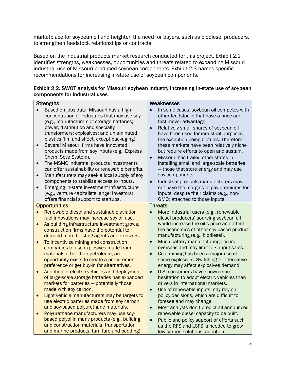marketplace for soybean oil and heighten the need for buyers, such as biodiesel producers, to strengthen feedstock relationships or contracts.

Based on the industrial products market research conducted for this project, Exhibit 2.2 identifies strengths, weaknesses, opportunities and threats related to expanding Missouri industrial use of Missouri-produced soybean components. Exhibit 2.3 names specific recommendations for increasing in-state use of soybean components.

| Exhibit 2.2. SWOT analysis for Missouri soybean industry increasing in-state use of soybean |
|---------------------------------------------------------------------------------------------|
| components for industrial uses                                                              |

| <b>Strengths</b>                                                                       | Weaknesses                                                                            |
|----------------------------------------------------------------------------------------|---------------------------------------------------------------------------------------|
| Based on jobs data, Missouri has a high                                                | In some cases, soybean oil competes with                                              |
| concentration of industries that may use soy                                           | other feedstocks that have a price and                                                |
| (e.g., manufacturers of storage batteries;                                             | first-mover advantage.                                                                |
| power, distribution and specialty                                                      | Relatively small shares of soybean oil<br>$\bullet$                                   |
| transformers; explosives; and unlaminated                                              | have been used for industrial purposes -                                              |
| plastics film and sheet, except packaging).                                            | the exception being biofuels. Therefore,                                              |
| Several Missouri firms have innovated<br>$\bullet$                                     | these markets have been relatively niche                                              |
| products made from soy inputs (e.g., Express                                           | but require efforts to open and sustain.                                              |
| Chem, Soya System).                                                                    | Missouri has trailed other states in<br>$\bullet$                                     |
| The MSMC industrial products investments<br>$\bullet$                                  | installing small and large-scale batteries                                            |
| can offer sustainability or renewable benefits.                                        | - those that store energy and may use                                                 |
| Manufacturers may seek a local supply of soy<br>$\bullet$                              | soy components.                                                                       |
| components to stabilize access to inputs.                                              | Industrial products manufacturers may<br>$\bullet$                                    |
| Emerging in-state investment infrastructure<br>$\bullet$                               | not have the margins to pay premiums for                                              |
| (e.g., venture capitalists, angel investors)                                           | inputs, despite their claims (e.g., non-                                              |
| offers financial support to startups.                                                  | GMO) attached to those inputs.                                                        |
| <b>Opportunities</b>                                                                   | <b>Threats</b>                                                                        |
| Renewable diesel and sustainable aviation                                              | More industrial users (e.g., renewable                                                |
| fuel innovations may increase soy oil use.                                             | diesel producers) sourcing soybean oil                                                |
| As building infrastructure investment grows,<br>$\bullet$                              | would increase the oil's price and affect<br>the economics of other soy-based product |
| construction firms have the potential to<br>demand more blasting agents and oxidizers. | manufacturing (e.g., biodiesel).                                                      |
| To incentivize mining and construction<br>$\bullet$                                    | Much battery manufacturing occurs<br>$\bullet$                                        |
| companies to use explosives made from                                                  | overseas and may limit U.S. input sales.                                              |
| materials other than petroleum, an                                                     | Coal mining has been a major use of<br>$\bullet$                                      |
| opportunity exists to create a procurement                                             | some explosives. Switching to alternative                                             |
| preference or get buy-in for alternatives.                                             | energy may affect explosives demand.                                                  |
| Adoption of electric vehicles and deployment<br>$\bullet$                              | U.S. consumers have shown more<br>$\bullet$                                           |
| of large-scale storage batteries has expanded                                          | hesitation to adopt electric vehicles than                                            |
| markets for batteries - potentially those                                              | drivers in international markets.                                                     |
| made with soy carbon.                                                                  | $\bullet$<br>Use of renewable inputs may rely on                                      |
| Light vehicle manufacturers may be targets to<br>$\bullet$                             | policy decisions, which are difficult to                                              |
| use electric batteries made from soy carbon                                            | foresee and may change.                                                               |
| and soy-based polyurethane materials.                                                  | Most analysts don't predict all announced<br>$\bullet$                                |
| Polyurethane manufacturers may use soy-<br>$\bullet$                                   | renewable diesel capacity to be built.                                                |
| based polyol in many products (e.g., building                                          | Public and policy support of efforts such<br>$\bullet$                                |
| and construction materials, transportation                                             | as the RFS and LCFS is needed to grow                                                 |
| and marine products, furniture and bedding).                                           | low-carbon solutions' adoption.                                                       |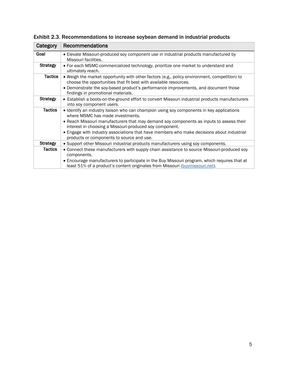| Category        | Recommendations                                                                                                                                                              |
|-----------------|------------------------------------------------------------------------------------------------------------------------------------------------------------------------------|
| Goal            | • Elevate Missouri-produced soy component use in industrial products manufactured by<br>Missouri facilities.                                                                 |
| <b>Strategy</b> | • For each MSMC-commercialized technology, prioritize one market to understand and<br>ultimately reach.                                                                      |
| <b>Tactics</b>  | • Weigh the market opportunity with other factors (e.g., policy environment, competition) to<br>choose the opportunities that fit best with available resources.             |
|                 | • Demonstrate the soy-based product's performance improvements, and document those<br>findings in promotional materials.                                                     |
| <b>Strategy</b> | • Establish a boots-on-the-ground effort to convert Missouri industrial products manufacturers<br>into soy component users.                                                  |
| <b>Tactics</b>  | • Identify an industry liaison who can champion using soy components in key applications<br>where MSMC has made investments.                                                 |
|                 | • Reach Missouri manufacturers that may demand soy components as inputs to assess their<br>interest in choosing a Missouri-produced soy component.                           |
|                 | • Engage with industry associations that have members who make decisions about industrial<br>products or components to source and use.                                       |
| <b>Strategy</b> | • Support other Missouri industrial products manufacturers using soy components.                                                                                             |
| <b>Tactics</b>  | • Connect these manufacturers with supply chain assistance to source Missouri-produced soy<br>components.                                                                    |
|                 | • Encourage manufacturers to participate in the Buy Missouri program, which requires that at<br>least 51% of a product's content originates from Missouri (buymissouri.net). |

Exhibit 2.3. Recommendations to increase soybean demand in industrial products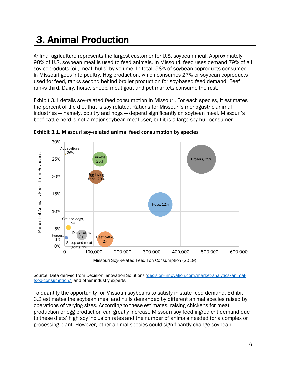### 3. Animal Production

Animal agriculture represents the largest customer for U.S. soybean meal. Approximately 98% of U.S. soybean meal is used to feed animals. In Missouri, feed uses demand 79% of all soy coproducts (oil, meal, hulls) by volume. In total, 58% of soybean coproducts consumed in Missouri goes into poultry. Hog production, which consumes 27% of soybean coproducts used for feed, ranks second behind broiler production for soy-based feed demand. Beef ranks third. Dairy, horse, sheep, meat goat and pet markets consume the rest.

Exhibit 3.1 details soy-related feed consumption in Missouri. For each species, it estimates the percent of the diet that is soy-related. Rations for Missouri's monogastric animal industries — namely, poultry and hogs — depend significantly on soybean meal. Missouri's beef cattle herd is not a major soybean meal user, but it is a large soy hull consumer.



Exhibit 3.1. Missouri soy-related animal feed consumption by species

Source: Data derived from Decision Innovation Solutions (decision-innovation.com/market-analytics/animalfood-consumption/) and other industry experts.

To quantify the opportunity for Missouri soybeans to satisfy in-state feed demand, Exhibit 3.2 estimates the soybean meal and hulls demanded by different animal species raised by operations of varying sizes. According to these estimates, raising chickens for meat production or egg production can greatly increase Missouri soy feed ingredient demand due to these diets' high soy inclusion rates and the number of animals needed for a complex or processing plant. However, other animal species could significantly change soybean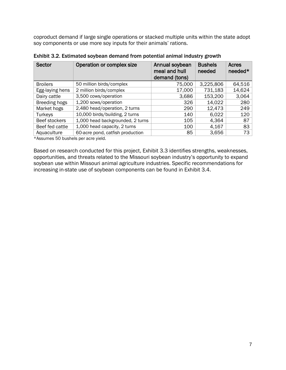coproduct demand if large single operations or stacked multiple units within the state adopt soy components or use more soy inputs for their animals' rations.

| <b>Sector</b>   | Operation or complex size        | Annual soybean<br>meal and hull<br>demand (tons) | <b>Bushels</b><br>needed | Acres<br>$need$ * |
|-----------------|----------------------------------|--------------------------------------------------|--------------------------|-------------------|
| <b>Broilers</b> | 50 million birds/complex         | 75,000                                           | 3,225,806                | 64,516            |
| Egg-laying hens | 2 million birds/complex          | 17,000                                           | 731,183                  | 14,624            |
| Dairy cattle    | 3,500 cows/operation             | 3,686                                            | 153,200                  | 3,064             |
| Breeding hogs   | 1,200 sows/operation             | 326                                              | 14,022                   | 280               |
| Market hogs     | 2,480 head/operation, 2 turns    | 290                                              | 12,473                   | 249               |
| Turkeys         | 10,000 birds/building, 2 turns   | 140                                              | 6,022                    | 120               |
| Beef stockers   | 1,000 head backgrounded, 2 turns | 105                                              | 4,364                    | 87                |
| Beef fed cattle | 1,000 head capacity, 2 turns     | 100                                              | 4,167                    | 83                |
| Aquaculture     | 60-acre pond, catfish production | 85                                               | 3,656                    | 73                |

Exhibit 3.2. Estimated soybean demand from potential animal industry growth

\*Assumes 50 bushels per acre yield.

Based on research conducted for this project, Exhibit 3.3 identifies strengths, weaknesses, opportunities, and threats related to the Missouri soybean industry's opportunity to expand soybean use within Missouri animal agriculture industries. Specific recommendations for increasing in-state use of soybean components can be found in Exhibit 3.4.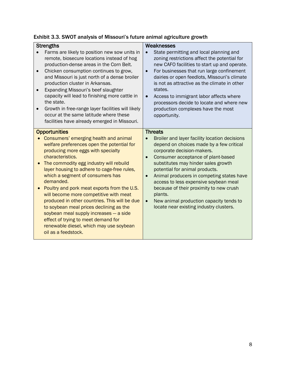| Exhibit 3.3. SWOT analysis of Missouri's future animal agriculture growth |  |
|---------------------------------------------------------------------------|--|
|---------------------------------------------------------------------------|--|

| <b>Strengths</b><br>Farms are likely to position new sow units in<br>remote, biosecure locations instead of hog<br>production-dense areas in the Corn Belt.<br>Chicken consumption continues to grow,<br>and Missouri is just north of a dense broiler<br>production cluster in Arkansas.<br>Expanding Missouri's beef slaughter<br>capacity will lead to finishing more cattle in<br>the state.<br>Growth in free-range layer facilities will likely<br>occur at the same latitude where these                                                                                                                                                                                                          | Weaknesses<br>State permitting and local planning and<br>zoning restrictions affect the potential for<br>new CAFO facilities to start up and operate.<br>For businesses that run large confinement<br>$\bullet$<br>dairies or open feedlots, Missouri's climate<br>is not as attractive as the climate in other<br>states.<br>Access to immigrant labor affects where<br>$\bullet$<br>processors decide to locate and where new<br>production complexes have the most<br>opportunity.                                             |
|----------------------------------------------------------------------------------------------------------------------------------------------------------------------------------------------------------------------------------------------------------------------------------------------------------------------------------------------------------------------------------------------------------------------------------------------------------------------------------------------------------------------------------------------------------------------------------------------------------------------------------------------------------------------------------------------------------|-----------------------------------------------------------------------------------------------------------------------------------------------------------------------------------------------------------------------------------------------------------------------------------------------------------------------------------------------------------------------------------------------------------------------------------------------------------------------------------------------------------------------------------|
| facilities have already emerged in Missouri.<br><b>Opportunities</b><br>Consumers' emerging health and animal<br>welfare preferences open the potential for<br>producing more eggs with specialty<br>characteristics.<br>The commodity egg industry will rebuild<br>layer housing to adhere to cage-free rules,<br>which a segment of consumers has<br>demanded.<br>Poultry and pork meat exports from the U.S.<br>will become more competitive with meat<br>produced in other countries. This will be due<br>to soybean meal prices declining as the<br>soybean meal supply increases - a side<br>effect of trying to meet demand for<br>renewable diesel, which may use soybean<br>oil as a feedstock. | <b>Threats</b><br>Broiler and layer facility location decisions<br>depend on choices made by a few critical<br>corporate decision-makers.<br>Consumer acceptance of plant-based<br>$\bullet$<br>substitutes may hinder sales growth<br>potential for animal products.<br>Animal producers in competing states have<br>$\bullet$<br>access to less expensive soybean meal<br>because of their proximity to new crush<br>plants.<br>New animal production capacity tends to<br>$\bullet$<br>locate near existing industry clusters. |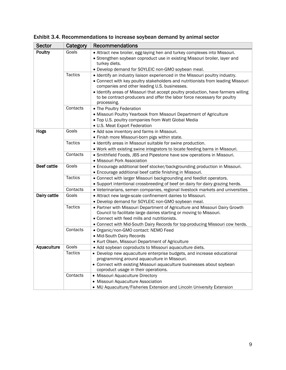| <b>Sector</b>      | Category       | <b>Recommendations</b>                                                                                                                                                                                                                                                                                                                                                                          |
|--------------------|----------------|-------------------------------------------------------------------------------------------------------------------------------------------------------------------------------------------------------------------------------------------------------------------------------------------------------------------------------------------------------------------------------------------------|
| Poultry            | Goals          | • Attract new broiler, egg-laying hen and turkey complexes into Missouri.<br>• Strengthen soybean coproduct use in existing Missouri broiler, layer and<br>turkey diets.<br>• Develop demand for SOYLEIC non-GMO soybean meal.                                                                                                                                                                  |
|                    | <b>Tactics</b> | · Identify an industry liaison experienced in the Missouri poultry industry.<br>• Connect with key poultry stakeholders and nutritionists from leading Missouri<br>companies and other leading U.S. businesses.<br>. Identify areas of Missouri that accept poultry production, have farmers willing<br>to be contract-producers and offer the labor force necessary for poultry<br>processing. |
|                    | Contacts       | • The Poultry Federation<br>• Missouri Poultry Yearbook from Missouri Department of Agriculture<br>. Top U.S. poultry companies from Watt Global Media<br>· U.S. Meat Export Federation                                                                                                                                                                                                         |
| Hogs               | Goals          | • Add sow inventory and farms in Missouri.<br>• Finish more Missouri-born pigs within state.                                                                                                                                                                                                                                                                                                    |
|                    | <b>Tactics</b> | · Identify areas in Missouri suitable for swine production.<br>. Work with existing swine integrators to locate feeding barns in Missouri.                                                                                                                                                                                                                                                      |
|                    | Contacts       | • Smithfield Foods, JBS and Pipestone have sow operations in Missouri.<br>· Missouri Pork Association                                                                                                                                                                                                                                                                                           |
| <b>Beef cattle</b> | Goals          | • Encourage additional beef stocker/backgrounding production in Missouri.<br>• Encourage additional beef cattle finishing in Missouri.                                                                                                                                                                                                                                                          |
|                    | <b>Tactics</b> | • Connect with larger Missouri backgrounding and feedlot operators.<br>• Support intentional crossbreeding of beef on dairy for dairy grazing herds.                                                                                                                                                                                                                                            |
|                    | Contacts       | • Veterinarians, semen companies, regional livestock markets and universities                                                                                                                                                                                                                                                                                                                   |
| Dairy cattle       | Goals          | • Attract new large-scale confinement dairies to Missouri.<br>• Develop demand for SOYLEIC non-GMO soybean meal.                                                                                                                                                                                                                                                                                |
|                    | <b>Tactics</b> | • Partner with Missouri Department of Agriculture and Missouri Dairy Growth<br>Council to facilitate large dairies starting or moving to Missouri.<br>• Connect with feed mills and nutritionists.<br>• Connect with Mid-South Dairy Records for top-producing Missouri cow herds.                                                                                                              |
|                    | Contacts       | · Organic/non-GMO contact: NEMO Feed<br>• Mid-South Dairy Records<br>• Kurt Olsen, Missouri Department of Agriculture                                                                                                                                                                                                                                                                           |
| Aquaculture        | Goals          | • Add soybean coproducts to Missouri aquaculture diets.                                                                                                                                                                                                                                                                                                                                         |
|                    | Tactics        | • Develop new aquaculture enterprise budgets, and increase educational<br>programming around aquaculture in Missouri.<br>• Connect with existing Missouri aquaculture businesses about soybean<br>coproduct usage in their operations.                                                                                                                                                          |
|                    | Contacts       | • Missouri Aquaculture Directory<br>• Missouri Aquaculture Association<br>• MU Aquaculture/Fisheries Extension and Lincoln University Extension                                                                                                                                                                                                                                                 |

Exhibit 3.4. Recommendations to increase soybean demand by animal sector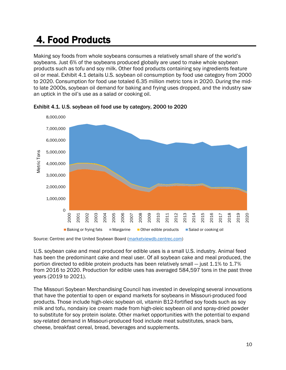### 4. Food Products

Making soy foods from whole soybeans consumes a relatively small share of the world's soybeans. Just 6% of the soybeans produced globally are used to make whole soybean products such as tofu and soy milk. Other food products containing soy ingredients feature oil or meal. Exhibit 4.1 details U.S. soybean oil consumption by food use category from 2000 to 2020. Consumption for food use totaled 6.35 million metric tons in 2020. During the midto late 2000s, soybean oil demand for baking and frying uses dropped, and the industry saw an uptick in the oil's use as a salad or cooking oil.



Exhibit 4.1. U.S. soybean oil food use by category, 2000 to 2020

Source: Centrec and the United Soybean Board (marketviewdb.centrec.com)

U.S. soybean cake and meal produced for edible uses is a small U.S. industry. Animal feed has been the predominant cake and meal user. Of all soybean cake and meal produced, the portion directed to edible protein products has been relatively small — just 1.1% to 1.7% from 2016 to 2020. Production for edible uses has averaged 584,597 tons in the past three years (2019 to 2021).

The Missouri Soybean Merchandising Council has invested in developing several innovations that have the potential to open or expand markets for soybeans in Missouri-produced food products. Those include high-oleic soybean oil, vitamin B12-fortified soy foods such as soy milk and tofu, nondairy ice cream made from high-oleic soybean oil and spray-dried powder to substitute for soy protein isolate. Other market opportunities with the potential to expand soy-related demand in Missouri-produced food include meat substitutes, snack bars, cheese, breakfast cereal, bread, beverages and supplements.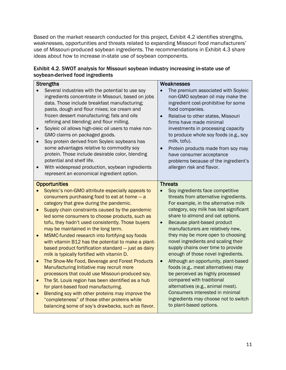Based on the market research conducted for this project, Exhibit 4.2 identifies strengths, weaknesses, opportunities and threats related to expanding Missouri food manufacturers' use of Missouri-produced soybean ingredients. The recommendations in Exhibit 4.3 share ideas about how to increase in-state use of soybean components.

| Exhibit 4.2. SWOT analysis for Missouri soybean industry increasing in-state use of |  |
|-------------------------------------------------------------------------------------|--|
| soybean-derived food ingredients                                                    |  |

| <b>Strengths</b>       |                                                                                                                                                                                                                                                                                                                                                                                                                                                                                                                                                                                                                                                                                                                                                                       | Weaknesses                                                                                                                                                                                                                                                                                                                                                                                                                                                                                                                                                                                             |  |
|------------------------|-----------------------------------------------------------------------------------------------------------------------------------------------------------------------------------------------------------------------------------------------------------------------------------------------------------------------------------------------------------------------------------------------------------------------------------------------------------------------------------------------------------------------------------------------------------------------------------------------------------------------------------------------------------------------------------------------------------------------------------------------------------------------|--------------------------------------------------------------------------------------------------------------------------------------------------------------------------------------------------------------------------------------------------------------------------------------------------------------------------------------------------------------------------------------------------------------------------------------------------------------------------------------------------------------------------------------------------------------------------------------------------------|--|
| $\bullet$              | Several industries with the potential to use soy<br>ingredients concentrate in Missouri, based on jobs<br>data. Those include breakfast manufacturing;<br>pasta, dough and flour mixes; ice cream and<br>frozen dessert manufacturing; fats and oils<br>refining and blending; and flour milling.<br>Soyleic oil allows high-oleic oil users to make non-<br>GMO claims on packaged goods.<br>Soy protein derived from Soyleic soybeans has<br>some advantages relative to commodity soy<br>protein. Those include desirable color, blending<br>potential and shelf life.<br>With widespread production, soybean ingredients<br>represent an economical ingredient option.                                                                                            | The premium associated with Soyleic<br>non-GMO soybean oil may make the<br>ingredient cost-prohibitive for some<br>food companies.<br>Relative to other states, Missouri<br>firms have made minimal<br>investments in processing capacity<br>to produce whole soy foods (e.g., soy<br>milk, tofu).<br>Protein products made from soy may<br>have consumer acceptance<br>problems because of the ingredient's<br>allergen risk and flavor.<br><b>Threats</b>                                                                                                                                            |  |
|                        | <b>Opportunities</b>                                                                                                                                                                                                                                                                                                                                                                                                                                                                                                                                                                                                                                                                                                                                                  |                                                                                                                                                                                                                                                                                                                                                                                                                                                                                                                                                                                                        |  |
| $\bullet$<br>$\bullet$ | Soyleic's non-GMO attribute especially appeals to<br>consumers purchasing food to eat at home - a<br>category that grew during the pandemic.<br>Supply chain constraints caused by the pandemic<br>led some consumers to choose products, such as<br>tofu, they hadn't used consistently. Those buyers<br>may be maintained in the long term.<br>MSMC-funded research into fortifying soy foods<br>with vitamin B12 has the potential to make a plant-<br>based product fortification standard - just as dairy<br>milk is typically fortified with vitamin D.<br>The Show-Me Food, Beverage and Forest Products<br>Manufacturing Initiative may recruit more<br>processors that could use Missouri-produced soy.<br>The St. Louis region has been identified as a hub | Soy ingredients face competitive<br>threats from alternative ingredients.<br>For example, in the alternative milk<br>category, soy milk has lost significant<br>share to almond and oat options.<br>Because plant-based product<br>$\bullet$<br>manufacturers are relatively new,<br>they may be more open to choosing<br>novel ingredients and scaling their<br>supply chains over time to provide<br>enough of those novel ingredients.<br>Although an opportunity, plant-based<br>$\bullet$<br>foods (e.g., meat alternatives) may<br>be perceived as highly processed<br>compared with traditional |  |
|                        | for plant-based food manufacturing.<br>Blending soy with other proteins may improve the<br>"completeness" of those other proteins while<br>balancing some of soy's drawbacks, such as flavor.                                                                                                                                                                                                                                                                                                                                                                                                                                                                                                                                                                         | alternatives (e.g., animal meat).<br>Consumers interested in minimal<br>ingredients may choose not to switch<br>to plant-based options.                                                                                                                                                                                                                                                                                                                                                                                                                                                                |  |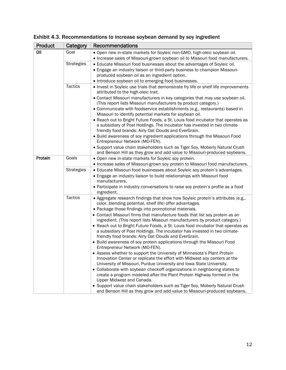| Product | Category          | <b>Recommendations</b>                                                                                                                                                            |
|---------|-------------------|-----------------------------------------------------------------------------------------------------------------------------------------------------------------------------------|
| Oil     | Goal              | . Open new in-state markets for Soyleic non-GMO, high-oleic soybean oil.                                                                                                          |
|         |                   | . Increase sales of Missouri-grown soybean oil to Missouri food manufacturers.                                                                                                    |
|         | <b>Strategies</b> | • Educate Missouri food businesses about the advantages of Soyleic oil.                                                                                                           |
|         |                   | • Engage an industry liaison or third-party business to champion Missouri-                                                                                                        |
|         |                   | produced soybean oil as an ingredient option.                                                                                                                                     |
|         |                   | • Introduce soybean oil to emerging food businesses.                                                                                                                              |
|         | <b>Tactics</b>    | . Invest in Soyleic use trials that demonstrate fry life or shelf life improvements<br>attributed to the high-oleic trait.                                                        |
|         |                   | • Contact Missouri manufacturers in key categories that may use soybean oil.<br>(This report lists Missouri manufacturers by product category.)                                   |
|         |                   | • Communicate with foodservice establishments (e.g., restaurants) based in                                                                                                        |
|         |                   | Missouri to identify potential markets for soybean oil.                                                                                                                           |
|         |                   | • Reach out to Bright Future Foods, a St. Louis food incubator that operates as<br>a subsidiary of Post Holdings. The incubator has invested in two climate-                      |
|         |                   | friendly food brands: Airly Oat Clouds and EverGrain.                                                                                                                             |
|         |                   | . Build awareness of soy ingredient applications through the Missouri Food<br>Entrepreneur Network (MO-FEN).                                                                      |
|         |                   | • Support value chain stakeholders such as Tiger Soy, Moberly Natural Crush                                                                                                       |
|         |                   | and Benson Hill as they grow and add value to Missouri-produced soybeans.                                                                                                         |
| Protein | Goals             | . Open new in-state markets for Soyleic soy protein.                                                                                                                              |
|         |                   | . Increase sales of Missouri-grown soy protein to Missouri food manufacturers.                                                                                                    |
|         | <b>Strategies</b> | · Educate Missouri food businesses about Soyleic soy protein's advantages.<br>• Engage an industry liaison to build relationships with Missouri food<br>manufacturers.            |
|         |                   | • Participate in industry conversations to raise soy protein's profile as a food<br>ingredient.                                                                                   |
|         | <b>Tactics</b>    | • Aggregate research findings that show how Soyleic protein's attributes (e.g.,                                                                                                   |
|         |                   | color, blending potential, shelf life) offer advantages.                                                                                                                          |
|         |                   | • Package those findings into promotional materials.                                                                                                                              |
|         |                   | • Contact Missouri firms that manufacture foods that list soy protein as an<br>ingredient. (This report lists Missouri manufacturers by product category.)                        |
|         |                   | • Reach out to Bright Future Foods, a St. Louis food incubator that operates as                                                                                                   |
|         |                   | a subsidiary of Post Holdings. The incubator has invested in two climate-<br>friendly food brands: Airly Oat Clouds and EverGrain.                                                |
|         |                   | • Build awareness of soy protein applications through the Missouri Food<br>Entrepreneur Network (MO-FEN).                                                                         |
|         |                   | • Assess whether to support the University of Minnesota's Plant Protein                                                                                                           |
|         |                   | Innovation Center or replicate the effort with Midwest soy centers at the<br>University of Missouri, Purdue University and Iowa State University.                                 |
|         |                   | • Collaborate with soybean checkoff organizations in neighboring states to<br>create a program modeled after the Plant Protein Highway formed in the<br>Upper Midwest and Canada. |
|         |                   | • Support value chain stakeholders such as Tiger Soy, Moberly Natural Crush                                                                                                       |
|         |                   | and Benson Hill as they grow and add value to Missouri-produced soybeans.                                                                                                         |

#### Exhibit 4.3. Recommendations to increase soybean demand by soy ingredient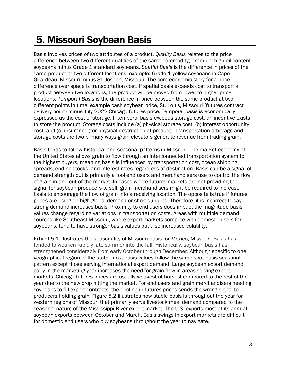### 5. Missouri Soybean Basis

Basis involves prices of two attributes of a product. *Quality Basis* relates to the price difference between two different qualities of the same commodity; example: high oil content soybeans minus Grade 1 standard soybeans. *Spatial Basis* is the difference in prices of the same product at two different locations; example: Grade 1 yellow soybeans in Cape Girardeau, Missouri minus St. Joseph, Missouri. The core economic story for a price difference over space is transportation cost. If spatial basis exceeds cost to transport a product between two locations, the product will be moved from lower to higher price locations. *Temporal Basis* is the difference in price between the same product at two different points in time; example cash soybean price, St. Louis, Missouri (futures contract delivery point) minus July 2022 Chicago futures price. Temporal basis is economically expressed as the cost of storage. If temporal basis exceeds storage cost, an incentive exists to store the product. Storage costs include (a) physical storage cost, (b) interest opportunity cost, and (c) insurance (for physical destruction of product). Transportation arbitrage and storage costs are two primary ways grain elevators generate revenue from trading grain.

Basis tends to follow historical and seasonal patterns in Missouri. The market economy of the United States allows grain to flow through an interconnected transportation system to the highest buyers, meaning basis is influenced by transportation cost, ocean shipping spreads, ending stocks, and interest rates regardless of destination. Basis can be a signal of demand strength but is primarily a tool end users and merchandisers use to control the flow of grain in and out of the market. In cases where futures markets are not providing the signal for soybean producers to sell, grain merchandisers might be required to increase basis to encourage the flow of grain into a receiving location. The opposite is true if futures prices are rising on high global demand or short supplies. Therefore, it is incorrect to say strong demand increases basis. Proximity to end users does impact the magnitude basis values change regarding variations in transportation costs. Areas with multiple demand sources like Southeast Missouri, where export markets compete with domestic users for soybeans, tend to have stronger basis values but also increased volatility.

Exhibit 5.1 illustrates the seasonality of Missouri basis for Mexico, Missouri. Basis has tended to weaken rapidly late summer into the fall. Historically, soybean basis has strengthened considerably from early October through December. Although specific to one geographical region of the state, most basis values follow the same spot basis seasonal pattern except those serving international export demand. Large soybean export demand early in the marketing year increases the need for grain flow in areas serving export markets. Chicago futures prices are usually weakest at harvest compared to the rest of the year due to the new crop hitting the market. For end users and grain merchandisers needing soybeans to fill export contracts, the decline in futures prices sends the wrong signal to producers holding grain. Figure 5.2 illustrates how stable basis is throughout the year for western regions of Missouri that primarily serve livestock meal demand compared to the seasonal nature of the Mississippi River export market. The U.S. exports most of its annual soybean exports between October and March. Basis swings in export markets are difficult for domestic end users who buy soybeans throughout the year to navigate.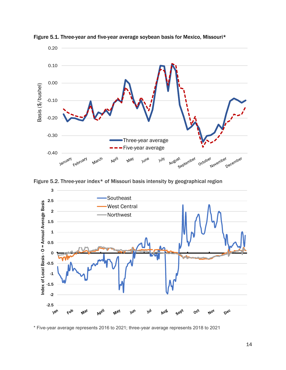

Figure 5.1. Three-year and five-year average soybean basis for Mexico, Missouri\*

Figure 5.2. Three-year index\* of Missouri basis intensity by geographical region



\* Five-year average represents 2016 to 2021; three-year average represents 2018 to 2021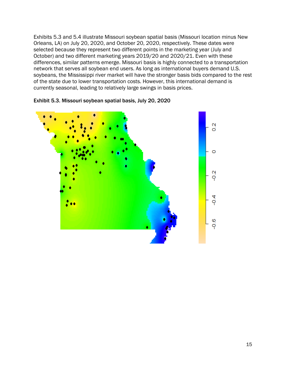Exhibits 5.3 and 5.4 illustrate Missouri soybean spatial basis (Missouri location minus New Orleans, LA) on July 20, 2020, and October 20, 2020, respectively. These dates were selected because they represent two different points in the marketing year (July and October) and two different marketing years 2019/20 and 2020/21. Even with these differences, similar patterns emerge. Missouri basis is highly connected to a transportation network that serves all soybean end users. As long as international buyers demand U.S. soybeans, the Mississippi river market will have the stronger basis bids compared to the rest of the state due to lower transportation costs. However, this international demand is currently seasonal, leading to relatively large swings in basis prices.



Exhibit 5.3. Missouri soybean spatial basis, July 20, 2020